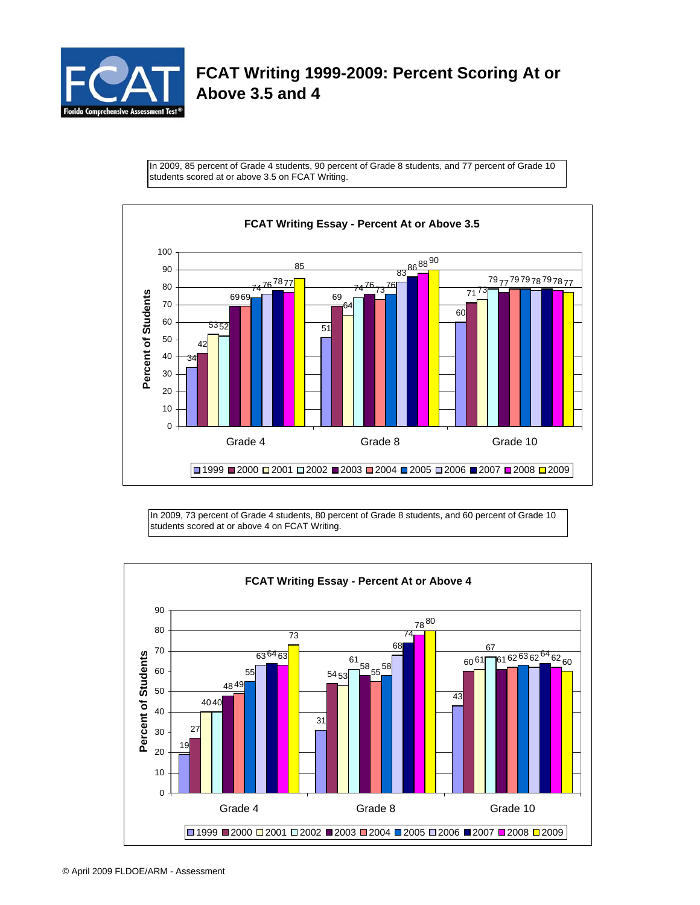

## **FCAT Writing 1999-2009: Percent Scoring At or Above 3.5 and 4**

In 2009, 85 percent of Grade 4 students, 90 percent of Grade 8 students, and 77 percent of Grade 10 students scored at or above 3.5 on FCAT Writing.



In 2009, 73 percent of Grade 4 students, 80 percent of Grade 8 students, and 60 percent of Grade 10 students scored at or above 4 on FCAT Writing.